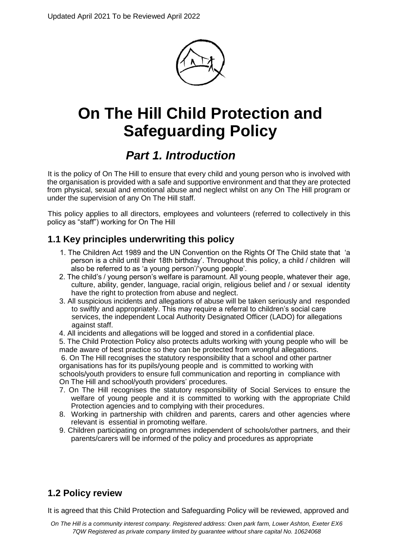

# **On The Hill Child Protection and Safeguarding Policy**

## *Part 1. Introduction*

It is the policy of On The Hill to ensure that every child and young person who is involved with the organisation is provided with a safe and supportive environment and that they are protected from physical, sexual and emotional abuse and neglect whilst on any On The Hill program or under the supervision of any On The Hill staff.

This policy applies to all directors, employees and volunteers (referred to collectively in this policy as "staff") working for On The Hill

## **1.1 Key principles underwriting this policy**

- 1. The Children Act 1989 and the UN Convention on the Rights Of The Child state that 'a person is a child until their 18th birthday'. Throughout this policy, a child / children will also be referred to as 'a young person'/'young people'.
- 2. The child's / young person's welfare is paramount. All young people, whatever their age, culture, ability, gender, language, racial origin, religious belief and / or sexual identity have the right to protection from abuse and neglect.
- 3. All suspicious incidents and allegations of abuse will be taken seriously and responded to swiftly and appropriately. This may require a referral to children's social care services, the independent Local Authority Designated Officer (LADO) for allegations against staff.
- 4. All incidents and allegations will be logged and stored in a confidential place.
- 5. The Child Protection Policy also protects adults working with young people who will be made aware of best practice so they can be protected from wrongful allegations.

6. On The Hill recognises the statutory responsibility that a school and other partner organisations has for its pupils/young people and is committed to working with

schools/youth providers to ensure full communication and reporting in compliance with On The Hill and school/youth providers' procedures.

- 7. On The Hill recognises the statutory responsibility of Social Services to ensure the welfare of young people and it is committed to working with the appropriate Child Protection agencies and to complying with their procedures.
- 8. Working in partnership with children and parents, carers and other agencies where relevant is essential in promoting welfare.
- 9. Children participating on programmes independent of schools/other partners, and their parents/carers will be informed of the policy and procedures as appropriate

## **1.2 Policy review**

It is agreed that this Child Protection and Safeguarding Policy will be reviewed, approved and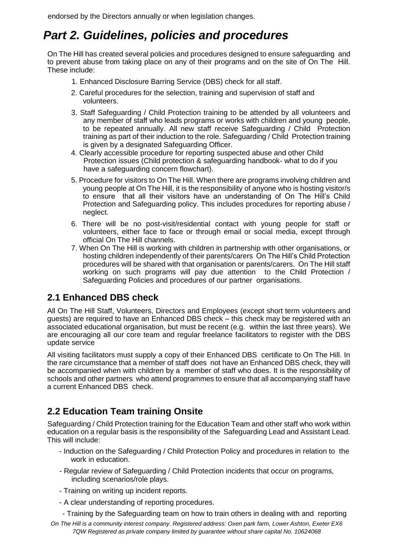endorsed by the Directors annually or when legislation changes.

## *Part 2. Guidelines, policies and procedures*

On The Hill has created several policies and procedures designed to ensure safeguarding and to prevent abuse from taking place on any of their programs and on the site of On The Hill. These include:

- 1. Enhanced Disclosure Barring Service (DBS) check for all staff.
- 2. Careful procedures for the selection, training and supervision of staff and volunteers.
- 3. Staff Safeguarding / Child Protection training to be attended by all volunteers and any member of staff who leads programs or works with children and young people, to be repeated annually. All new staff receive Safeguarding / Child Protection training as part of their induction to the role. Safeguarding / Child Protection training is given by a designated Safeguarding Officer.
- 4. Clearly accessible procedure for reporting suspected abuse and other Child Protection issues (Child protection & safeguarding handbook- what to do if you have a safeguarding concern flowchart).
- 5. Procedure for visitors to On The Hill. When there are programs involving children and young people at On The Hill, it is the responsibility of anyone who is hosting visitor/s to ensure that all their visitors have an understanding of On The Hill's Child Protection and Safeguarding policy. This includes procedures for reporting abuse / neglect.
- 6. There will be no post-visit/residential contact with young people for staff or volunteers, either face to face or through email or social media, except through official On The Hill channels.
- 7. When On The Hill is working with children in partnership with other organisations, or hosting children independently of their parents/carers On The Hill's Child Protection procedures will be shared with that organisation or parents/carers. On The Hill staff working on such programs will pay due attention to the Child Protection / Safeguarding Policies and procedures of our partner organisations.

## **2.1 Enhanced DBS check**

All On The Hill Staff, Volunteers, Directors and Employees (except short term volunteers and guests) are required to have an Enhanced DBS check – this check may be registered with an associated educational organisation, but must be recent (e.g. within the last three years). We are encouraging all our core team and regular freelance facilitators to register with the DBS update service

All visiting facilitators must supply a copy of their Enhanced DBS certificate to On The Hill. In the rare circumstance that a member of staff does not have an Enhanced DBS check, they will be accompanied when with children by a member of staff who does. It is the responsibility of schools and other partners who attend programmes to ensure that all accompanying staff have a current Enhanced DBS check.

## **2.2 Education Team training Onsite**

Safeguarding / Child Protection training for the Education Team and other staff who work within education on a regular basis is the responsibility of the Safeguarding Lead and Assistant Lead. This will include:

- Induction on the Safeguarding / Child Protection Policy and procedures in relation to the work in education.
- Regular review of Safeguarding / Child Protection incidents that occur on programs, including scenarios/role plays.
- Training on writing up incident reports.
- A clear understanding of reporting procedures.
- Training by the Safeguarding team on how to train others in dealing with and reporting
- *On The Hill is a community interest company. Registered address: Oxen park farm, Lower Ashton, Exeter EX6 7QW Registered as private company limited by guarantee without share capital No. 10624068*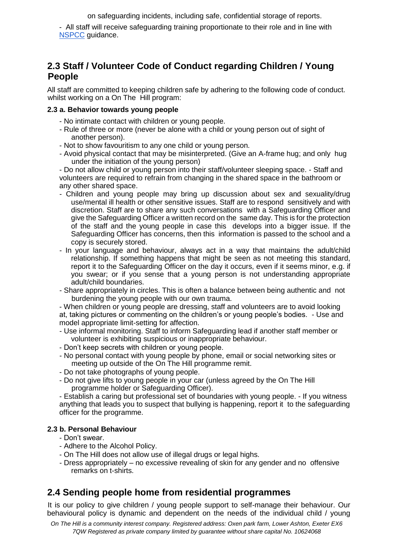on safeguarding incidents, including safe, confidential storage of reports.

- All staff will receive safeguarding training proportionate to their role and in line with [NSPCC](https://learning.nspcc.org.uk/training/mandatory-safeguarding-child-protection-training) guidance.

## **2.3 Staff / Volunteer Code of Conduct regarding Children / Young People**

All staff are committed to keeping children safe by adhering to the following code of conduct. whilst working on a On The Hill program:

#### **2.3 a. Behavior towards young people**

- No intimate contact with children or young people.
- Rule of three or more (never be alone with a child or young person out of sight of another person).
- Not to show favouritism to any one child or young person.
- Avoid physical contact that may be misinterpreted. (Give an A-frame hug; and only hug under the initiation of the young person)

- Do not allow child or young person into their staff/volunteer sleeping space. - Staff and volunteers are required to refrain from changing in the shared space in the bathroom or any other shared space.

- Children and young people may bring up discussion about sex and sexuality/drug use/mental ill health or other sensitive issues. Staff are to respond sensitively and with discretion. Staff are to share any such conversations with a Safeguarding Officer and give the Safeguarding Officer a written record on the same day. This is for the protection of the staff and the young people in case this develops into a bigger issue. If the Safeguarding Officer has concerns, then this information is passed to the school and a copy is securely stored.
- In your language and behaviour, always act in a way that maintains the adult/child relationship. If something happens that might be seen as not meeting this standard, report it to the Safeguarding Officer on the day it occurs, even if it seems minor, e.g. if you swear; or if you sense that a young person is not understanding appropriate adult/child boundaries.
- Share appropriately in circles. This is often a balance between being authentic and not burdening the young people with our own trauma.

- When children or young people are dressing, staff and volunteers are to avoid looking at, taking pictures or commenting on the children's or young people's bodies. - Use and model appropriate limit-setting for affection.

- Use informal monitoring. Staff to inform Safeguarding lead if another staff member or volunteer is exhibiting suspicious or inappropriate behaviour.
- Don't keep secrets with children or young people.
- No personal contact with young people by phone, email or social networking sites or meeting up outside of the On The Hill programme remit.
- Do not take photographs of young people.
- Do not give lifts to young people in your car (unless agreed by the On The Hill programme holder or Safeguarding Officer).

- Establish a caring but professional set of boundaries with young people. - If you witness anything that leads you to suspect that bullying is happening, report it to the safeguarding officer for the programme.

### **2.3 b. Personal Behaviour**

- Don't swear.
- Adhere to the Alcohol Policy.
- On The Hill does not allow use of illegal drugs or legal highs.
- Dress appropriately no excessive revealing of skin for any gender and no offensive remarks on t-shirts.

## **2.4 Sending people home from residential programmes**

It is our policy to give children / young people support to self-manage their behaviour. Our behavioural policy is dynamic and dependent on the needs of the individual child / young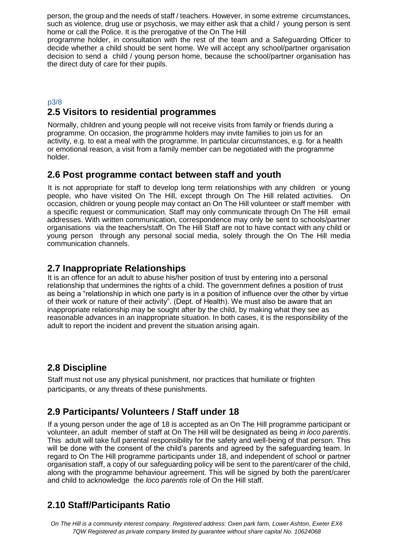person, the group and the needs of staff / teachers. However, in some extreme circumstances, such as violence, drug use or psychosis, we may either ask that a child / young person is sent home or call the Police. It is the prerogative of the On The Hill

programme holder, in consultation with the rest of the team and a Safeguarding Officer to decide whether a child should be sent home. We will accept any school/partner organisation decision to send a child / young person home, because the school/partner organisation has the direct duty of care for their pupils.

### p3/8 **2.5 Visitors to residential programmes**

Normally, children and young people will not receive visits from family or friends during a programme. On occasion, the programme holders may invite families to join us for an activity, e.g. to eat a meal with the programme. In particular circumstances, e.g. for a health or emotional reason, a visit from a family member can be negotiated with the programme holder.

### **2.6 Post programme contact between staff and youth**

It is not appropriate for staff to develop long term relationships with any children or young people, who have visited On The Hill, except through On The Hill related activities. On occasion, children or young people may contact an On The Hill volunteer or staff member with a specific request or communication. Staff may only communicate through On The Hill email addresses. With written communication, correspondence may only be sent to schools/partner organisations via the teachers/staff. On The Hill Staff are not to have contact with any child or young person through any personal social media, solely through the On The Hill media communication channels.

### **2.7 Inappropriate Relationships**

It is an offence for an adult to abuse his/her position of trust by entering into a personal relationship that undermines the rights of a child. The government defines a position of trust as being a "relationship in which one party is in a position of influence over the other by virtue of their work or nature of their activity". (Dept. of Health). We must also be aware that an inappropriate relationship may be sought after by the child, by making what they see as reasonable advances in an inappropriate situation. In both cases, it is the responsibility of the adult to report the incident and prevent the situation arising again.

## **2.8 Discipline**

Staff must not use any physical punishment, nor practices that humiliate or frighten participants, or any threats of these punishments.

## **2.9 Participants/ Volunteers / Staff under 18**

If a young person under the age of 18 is accepted as an On The Hill programme participant or volunteer, an adult member of staff at On The Hill will be designated as being *in loco parentis*. This adult will take full parental responsibility for the safety and well-being of that person. This will be done with the consent of the child's parents and agreed by the safeguarding team. In regard to On The Hill programme participants under 18, and independent of school or partner organisation staff, a copy of our safeguarding policy will be sent to the parent/carer of the child, along with the programme behaviour agreement. This will be signed by both the parent/carer and child to acknowledge the *loco parentis* role of On the Hill staff.

## **2.10 Staff/Participants Ratio**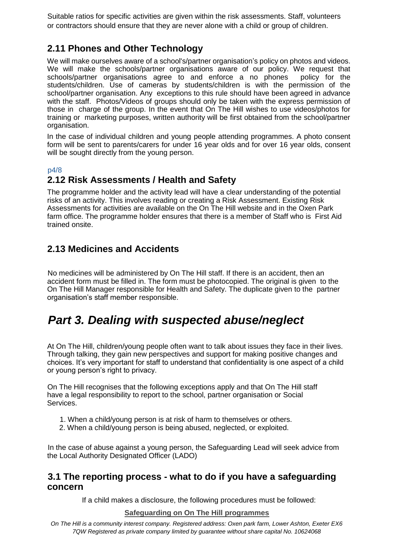Suitable ratios for specific activities are given within the risk assessments. Staff, volunteers or contractors should ensure that they are never alone with a child or group of children.

## **2.11 Phones and Other Technology**

We will make ourselves aware of a school's/partner organisation's policy on photos and videos. We will make the schools/partner organisations aware of our policy. We request that schools/partner organisations agree to and enforce a no phones policy for the schools/partner organisations agree to and enforce a no phones students/children. Use of cameras by students/children is with the permission of the school/partner organisation. Any exceptions to this rule should have been agreed in advance with the staff. Photos/Videos of groups should only be taken with the express permission of those in charge of the group. In the event that On The Hill wishes to use videos/photos for training or marketing purposes, written authority will be first obtained from the school/partner organisation.

In the case of individual children and young people attending programmes. A photo consent form will be sent to parents/carers for under 16 year olds and for over 16 year olds, consent will be sought directly from the young person.

### p4/8

## **2.12 Risk Assessments / Health and Safety**

The programme holder and the activity lead will have a clear understanding of the potential risks of an activity. This involves reading or creating a Risk Assessment. Existing Risk Assessments for activities are available on the On The Hill website and in the Oxen Park farm office. The programme holder ensures that there is a member of Staff who is First Aid trained onsite.

## **2.13 Medicines and Accidents**

No medicines will be administered by On The Hill staff. If there is an accident, then an accident form must be filled in. The form must be photocopied. The original is given to the On The Hill Manager responsible for Health and Safety. The duplicate given to the partner organisation's staff member responsible.

## *Part 3. Dealing with suspected abuse/neglect*

At On The Hill, children/young people often want to talk about issues they face in their lives. Through talking, they gain new perspectives and support for making positive changes and choices. It's very important for staff to understand that confidentiality is one aspect of a child or young person's right to privacy.

On The Hill recognises that the following exceptions apply and that On The Hill staff have a legal responsibility to report to the school, partner organisation or Social Services.

- 1. When a child/young person is at risk of harm to themselves or others.
- 2. When a child/young person is being abused, neglected, or exploited.

In the case of abuse against a young person, the Safeguarding Lead will seek advice from the Local Authority Designated Officer (LADO)

### **3.1 The reporting process - what to do if you have a safeguarding concern**

If a child makes a disclosure, the following procedures must be followed:

### **Safeguarding on On The Hill programmes**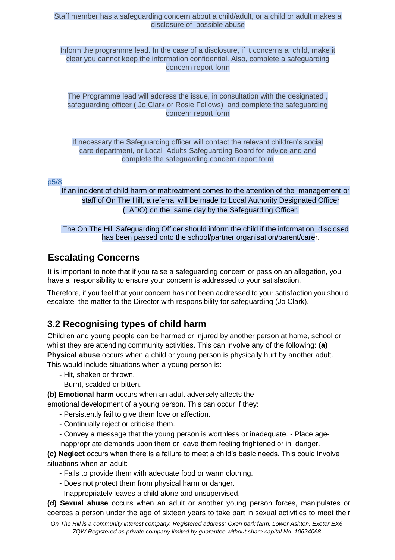### Staff member has a safeguarding concern about a child/adult, or a child or adult makes a disclosure of possible abuse

Inform the programme lead. In the case of a disclosure, if it concerns a child, make it clear you cannot keep the information confidential. Also, complete a safeguarding concern report form

The Programme lead will address the issue, in consultation with the designated , safeguarding officer ( Jo Clark or Rosie Fellows) and complete the safeguarding concern report form

If necessary the Safeguarding officer will contact the relevant children's social care department, or Local Adults Safeguarding Board for advice and and complete the safeguarding concern report form

#### p5/8

If an incident of child harm or maltreatment comes to the attention of the management or staff of On The Hill, a referral will be made to Local Authority Designated Officer (LADO) on the same day by the Safeguarding Officer.

### The On The Hill Safeguarding Officer should inform the child if the information disclosed has been passed onto the school/partner organisation/parent/carer.

### **Escalating Concerns**

It is important to note that if you raise a safeguarding concern or pass on an allegation, you have a responsibility to ensure your concern is addressed to your satisfaction.

Therefore, if you feel that your concern has not been addressed to your satisfaction you should escalate the matter to the Director with responsibility for safeguarding (Jo Clark).

### **3.2 Recognising types of child harm**

Children and young people can be harmed or injured by another person at home, school or whilst they are attending community activities. This can involve any of the following: **(a) Physical abuse** occurs when a child or young person is physically hurt by another adult. This would include situations when a young person is:

- Hit, shaken or thrown.
- Burnt, scalded or bitten.

**(b) Emotional harm** occurs when an adult adversely affects the

emotional development of a young person. This can occur if they:

- Persistently fail to give them love or affection.
- Continually reject or criticise them.
- Convey a message that the young person is worthless or inadequate. Place age-

inappropriate demands upon them or leave them feeling frightened or in danger.

**(c) Neglect** occurs when there is a failure to meet a child's basic needs. This could involve situations when an adult:

- Fails to provide them with adequate food or warm clothing.
- Does not protect them from physical harm or danger.
- Inappropriately leaves a child alone and unsupervised.

**(d) Sexual abuse** occurs when an adult or another young person forces, manipulates or coerces a person under the age of sixteen years to take part in sexual activities to meet their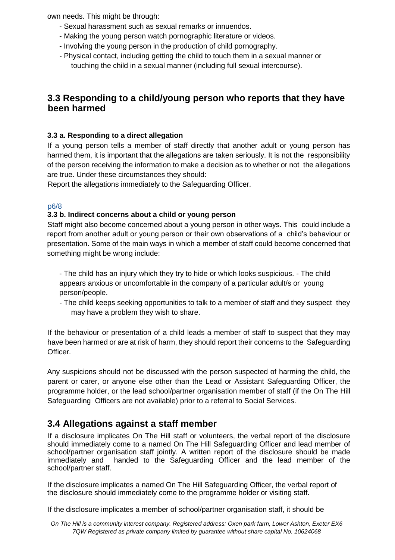own needs. This might be through:

- Sexual harassment such as sexual remarks or innuendos.
- Making the young person watch pornographic literature or videos.
- Involving the young person in the production of child pornography.
- Physical contact, including getting the child to touch them in a sexual manner or touching the child in a sexual manner (including full sexual intercourse).

### **3.3 Responding to a child/young person who reports that they have been harmed**

### **3.3 a. Responding to a direct allegation**

If a young person tells a member of staff directly that another adult or young person has harmed them, it is important that the allegations are taken seriously. It is not the responsibility of the person receiving the information to make a decision as to whether or not the allegations are true. Under these circumstances they should:

Report the allegations immediately to the Safeguarding Officer.

### p6/8

### **3.3 b. Indirect concerns about a child or young person**

Staff might also become concerned about a young person in other ways. This could include a report from another adult or young person or their own observations of a child's behaviour or presentation. Some of the main ways in which a member of staff could become concerned that something might be wrong include:

- The child has an injury which they try to hide or which looks suspicious. - The child appears anxious or uncomfortable in the company of a particular adult/s or young person/people.

- The child keeps seeking opportunities to talk to a member of staff and they suspect they may have a problem they wish to share.

If the behaviour or presentation of a child leads a member of staff to suspect that they may have been harmed or are at risk of harm, they should report their concerns to the Safeguarding Officer.

Any suspicions should not be discussed with the person suspected of harming the child, the parent or carer, or anyone else other than the Lead or Assistant Safeguarding Officer, the programme holder, or the lead school/partner organisation member of staff (if the On The Hill Safeguarding Officers are not available) prior to a referral to Social Services.

### **3.4 Allegations against a staff member**

If a disclosure implicates On The Hill staff or volunteers, the verbal report of the disclosure should immediately come to a named On The Hill Safeguarding Officer and lead member of school/partner organisation staff jointly. A written report of the disclosure should be made immediately and handed to the Safeguarding Officer and the lead member of the school/partner staff.

If the disclosure implicates a named On The Hill Safeguarding Officer, the verbal report of the disclosure should immediately come to the programme holder or visiting staff.

If the disclosure implicates a member of school/partner organisation staff, it should be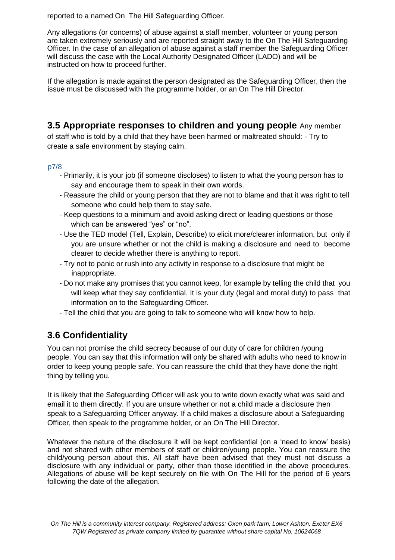reported to a named On The Hill Safeguarding Officer.

Any allegations (or concerns) of abuse against a staff member, volunteer or young person are taken extremely seriously and are reported straight away to the On The Hill Safeguarding Officer. In the case of an allegation of abuse against a staff member the Safeguarding Officer will discuss the case with the Local Authority Designated Officer (LADO) and will be instructed on how to proceed further.

If the allegation is made against the person designated as the Safeguarding Officer, then the issue must be discussed with the programme holder, or an On The Hill Director.

### **3.5 Appropriate responses to children and young people** Any member

of staff who is told by a child that they have been harmed or maltreated should: - Try to create a safe environment by staying calm.

### p7/8

- Primarily, it is your job (if someone discloses) to listen to what the young person has to say and encourage them to speak in their own words.
- Reassure the child or young person that they are not to blame and that it was right to tell someone who could help them to stay safe.
- Keep questions to a minimum and avoid asking direct or leading questions or those which can be answered "yes" or "no".
- Use the TED model (Tell, Explain, Describe) to elicit more/clearer information, but only if you are unsure whether or not the child is making a disclosure and need to become clearer to decide whether there is anything to report.
- Try not to panic or rush into any activity in response to a disclosure that might be inappropriate.
- Do not make any promises that you cannot keep, for example by telling the child that you will keep what they say confidential. It is your duty (legal and moral duty) to pass that information on to the Safeguarding Officer.
- Tell the child that you are going to talk to someone who will know how to help.

## **3.6 Confidentiality**

You can not promise the child secrecy because of our duty of care for children /young people. You can say that this information will only be shared with adults who need to know in order to keep young people safe. You can reassure the child that they have done the right thing by telling you.

It is likely that the Safeguarding Officer will ask you to write down exactly what was said and email it to them directly. If you are unsure whether or not a child made a disclosure then speak to a Safeguarding Officer anyway. If a child makes a disclosure about a Safeguarding Officer, then speak to the programme holder, or an On The Hill Director.

Whatever the nature of the disclosure it will be kept confidential (on a 'need to know' basis) and not shared with other members of staff or children/young people. You can reassure the child/young person about this. All staff have been advised that they must not discuss a disclosure with any individual or party, other than those identified in the above procedures. Allegations of abuse will be kept securely on file with On The Hill for the period of 6 years following the date of the allegation.